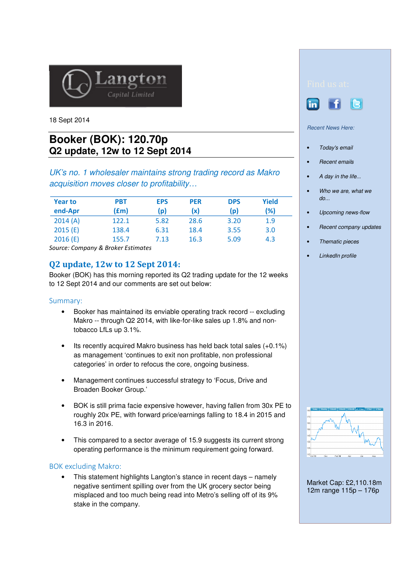

18 Sept 2014

# **Booker (BOK): 120.70p Q2 update, 12w to 12 Sept 2014**

UK's no. 1 wholesaler maintains strong trading record as Makro acquisition moves closer to profitability…

| <b>Year to</b> | PBT   | <b>EPS</b> | <b>PER</b> | <b>DPS</b> | <b>Yield</b> |
|----------------|-------|------------|------------|------------|--------------|
| end-Apr        | (fm)  | (p)        | (x)        | (p)        | (%)          |
| 2014(A)        | 122.1 | 5.82       | 28.6       | 3.20       | 1.9          |
| 2015(E)        | 138.4 | 6.31       | 18.4       | 3.55       | 3.0          |
| 2016(E)        | 155.7 | 7.13       | 16.3       | 5.09       | 4.3          |

Source: Company & Broker Estimates

# Q2 update, 12w to 12 Sept 2014:

Booker (BOK) has this morning reported its Q2 trading update for the 12 weeks to 12 Sept 2014 and our comments are set out below:

## Summary:

- Booker has maintained its enviable operating track record -- excluding Makro -- through Q2 2014, with like-for-like sales up 1.8% and nontobacco LfLs up 3.1%.
- Its recently acquired Makro business has held back total sales (+0.1%) as management 'continues to exit non profitable, non professional categories' in order to refocus the core, ongoing business.
- Management continues successful strategy to 'Focus, Drive and Broaden Booker Group.'
- BOK is still prima facie expensive however, having fallen from 30x PE to roughly 20x PE, with forward price/earnings falling to 18.4 in 2015 and 16.3 in 2016.
- This compared to a sector average of 15.9 suggests its current strong operating performance is the minimum requirement going forward.

# BOK excluding Makro:

• This statement highlights Langton's stance in recent days – namely negative sentiment spilling over from the UK grocery sector being misplaced and too much being read into Metro's selling off of its 9% stake in the company.





#### Recent News Here:

- Today's email
- Recent emails
- A day in the life...
- Who we are, what we  $do...$
- Upcoming news-flow
- Recent company updates
- Thematic pieces
- LinkedIn profile



Market Cap: £2,110.18m 12m range 115p – 176p